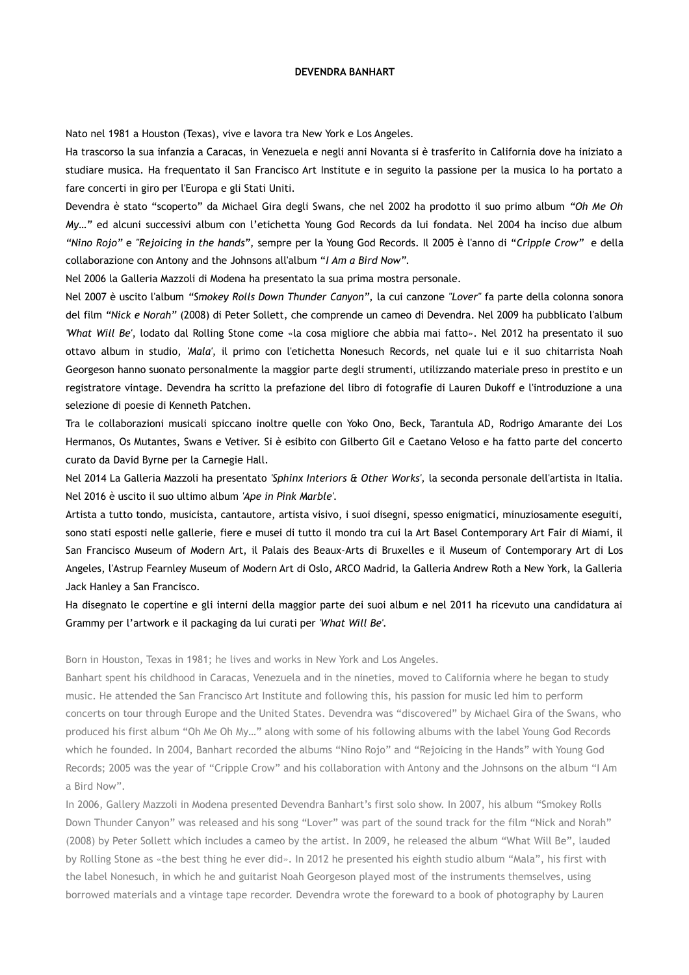### **DEVENDRA BANHART**

Nato nel 1981 a Houston (Texas), vive e lavora tra New York e Los Angeles.

Ha trascorso la sua infanzia a Caracas, in Venezuela e negli anni Novanta si è trasferito in California dove ha iniziato a studiare musica. Ha frequentato il San Francisco Art Institute e in seguito la passione per la musica lo ha portato a fare concerti in giro per l'Europa e gli Stati Uniti.

Devendra è stato "scoperto" da Michael Gira degli Swans, che nel 2002 ha prodotto il suo primo album *"Oh Me Oh My…"* ed alcuni successivi album con l'etichetta Young God Records da lui fondata. Nel 2004 ha inciso due album *"Nino Rojo"* e *"Rejoicing in the hands",* sempre per la Young God Records. Il 2005 è l'anno di "*Cripple Crow"* e della collaborazione con Antony and the Johnsons all'album "*I Am a Bird Now".*

Nel 2006 la Galleria Mazzoli di Modena ha presentato la sua prima mostra personale.

Nel 2007 è uscito l'album *"Smokey Rolls Down Thunder Canyon",* la cui canzone *"Lover"* fa parte della colonna sonora del film *"Nick e Norah"* (2008) di Peter Sollett, che comprende un cameo di Devendra. Nel 2009 ha pubblicato l'album *'What Will Be'*, lodato dal Rolling Stone come «la cosa migliore che abbia mai fatto». Nel 2012 ha presentato il suo ottavo album in studio, *'Mala'*, il primo con l'etichetta Nonesuch Records, nel quale lui e il suo chitarrista Noah Georgeson hanno suonato personalmente la maggior parte degli strumenti, utilizzando materiale preso in prestito e un registratore vintage. Devendra ha scritto la prefazione del libro di fotografie di Lauren Dukoff e l'introduzione a una selezione di poesie di Kenneth Patchen.

Tra le collaborazioni musicali spiccano inoltre quelle con Yoko Ono, Beck, Tarantula AD, Rodrigo Amarante dei Los Hermanos, Os Mutantes, Swans e Vetiver. Si è esibito con Gilberto Gil e Caetano Veloso e ha fatto parte del concerto curato da David Byrne per la Carnegie Hall.

Nel 2014 La Galleria Mazzoli ha presentato *'Sphinx Interiors & Other Works',* la seconda personale dell'artista in Italia. Nel 2016 è uscito il suo ultimo album *'Ape in Pink Marble'.*

Artista a tutto tondo, musicista, cantautore, artista visivo, i suoi disegni, spesso enigmatici, minuziosamente eseguiti, sono stati esposti nelle gallerie, fiere e musei di tutto il mondo tra cui la Art Basel Contemporary Art Fair di Miami, il San Francisco Museum of Modern Art, il Palais des Beaux-Arts di Bruxelles e il Museum of Contemporary Art di Los Angeles, l'Astrup Fearnley Museum of Modern Art di Oslo, ARCO Madrid, la Galleria Andrew Roth a New York, la Galleria Jack Hanley a San Francisco.

Ha disegnato le copertine e gli interni della maggior parte dei suoi album e nel 2011 ha ricevuto una candidatura ai Grammy per l'artwork e il packaging da lui curati per *'What Will Be'.*

Born in Houston, Texas in 1981; he lives and works in New York and Los Angeles.

Banhart spent his childhood in Caracas, Venezuela and in the nineties, moved to California where he began to study music. He attended the San Francisco Art Institute and following this, his passion for music led him to perform concerts on tour through Europe and the United States. Devendra was "discovered" by Michael Gira of the Swans, who produced his first album "Oh Me Oh My…" along with some of his following albums with the label Young God Records which he founded. In 2004, Banhart recorded the albums "Nino Rojo" and "Rejoicing in the Hands" with Young God Records; 2005 was the year of "Cripple Crow" and his collaboration with Antony and the Johnsons on the album "I Am a Bird Now".

In 2006, Gallery Mazzoli in Modena presented Devendra Banhart's first solo show. In 2007, his album "Smokey Rolls Down Thunder Canyon" was released and his song "Lover" was part of the sound track for the film "Nick and Norah" (2008) by Peter Sollett which includes a cameo by the artist. In 2009, he released the album "What Will Be", lauded by Rolling Stone as «the best thing he ever did». In 2012 he presented his eighth studio album "Mala", his first with the label Nonesuch, in which he and guitarist Noah Georgeson played most of the instruments themselves, using borrowed materials and a vintage tape recorder. Devendra wrote the foreward to a book of photography by Lauren